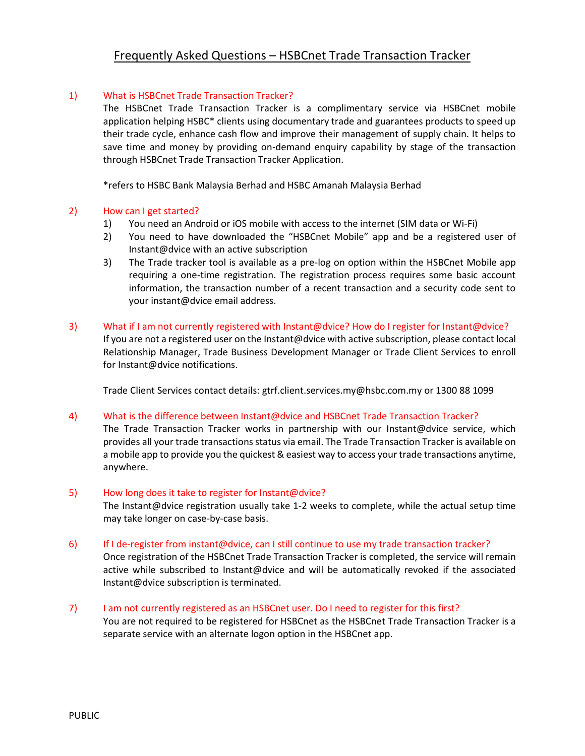# Frequently Asked Questions – HSBCnet Trade Transaction Tracker

## 1) What is HSBCnet Trade Transaction Tracker?

The HSBCnet Trade Transaction Tracker is a complimentary service via HSBCnet mobile application helping HSBC\* clients using documentary trade and guarantees products to speed up their trade cycle, enhance cash flow and improve their management of supply chain. It helps to save time and money by providing on-demand enquiry capability by stage of the transaction through HSBCnet Trade Transaction Tracker Application.

\*refers to HSBC Bank Malaysia Berhad and HSBC Amanah Malaysia Berhad

#### 2) How can I get started?

- 1) You need an Android or iOS mobile with access to the internet (SIM data or Wi-Fi)
- 2) You need to have downloaded the "HSBCnet Mobile" app and be a registered user of Instant@dvice with an active subscription
- 3) The Trade tracker tool is available as a pre-log on option within the HSBCnet Mobile app requiring a one-time registration. The registration process requires some basic account information, the transaction number of a recent transaction and a security code sent to your instant@dvice email address.
- 3) What if I am not currently registered with Instant@dvice? How do I register for Instant@dvice? If you are not a registered user on the Instant@dvice with active subscription, please contact local Relationship Manager, Trade Business Development Manager or Trade Client Services to enroll for Instant@dvice notifications.

Trade Client Services contact details: gtrf.client.services.my@hsbc.com.my or 1300 88 1099

## 4) What is the difference between Instant@dvice and HSBCnet Trade Transaction Tracker?

The Trade Transaction Tracker works in partnership with our Instant@dvice service, which provides all your trade transactions status via email. The Trade Transaction Tracker is available on a mobile app to provide you the quickest & easiest way to access your trade transactions anytime, anywhere.

#### 5) How long does it take to register for Instant@dvice?

The Instant@dvice registration usually take 1-2 weeks to complete, while the actual setup time may take longer on case-by-case basis.

#### 6) If I de-register from instant@dvice, can I still continue to use my trade transaction tracker?

Once registration of the HSBCnet Trade Transaction Tracker is completed, the service will remain active while subscribed to Instant@dvice and will be automatically revoked if the associated Instant@dvice subscription is terminated.

7) I am not currently registered as an HSBCnet user. Do I need to register for this first? You are not required to be registered for HSBCnet as the HSBCnet Trade Transaction Tracker is a separate service with an alternate logon option in the HSBCnet app.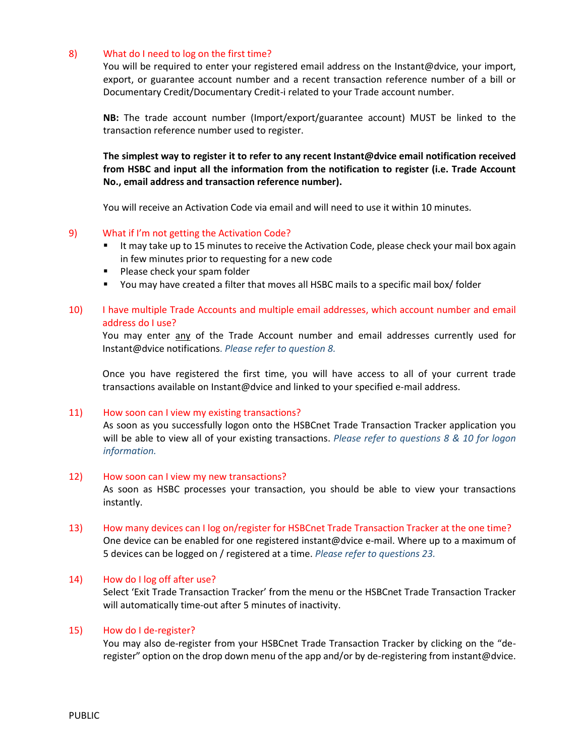## 8) What do I need to log on the first time?

You will be required to enter your registered email address on the Instant@dvice, your import, export, or guarantee account number and a recent transaction reference number of a bill or Documentary Credit/Documentary Credit-i related to your Trade account number.

**NB:** The trade account number (Import/export/guarantee account) MUST be linked to the transaction reference number used to register.

**The simplest way to register it to refer to any recent Instant@dvice email notification received from HSBC and input all the information from the notification to register (i.e. Trade Account No., email address and transaction reference number).**

You will receive an Activation Code via email and will need to use it within 10 minutes.

## 9) What if I'm not getting the Activation Code?

- It may take up to 15 minutes to receive the Activation Code, please check your mail box again in few minutes prior to requesting for a new code
- **Please check your spam folder**
- You may have created a filter that moves all HSBC mails to a specific mail box/ folder

# 10) I have multiple Trade Accounts and multiple email addresses, which account number and email address do I use?

You may enter any of the Trade Account number and email addresses currently used for Instant@dvice notifications. *Please refer to question 8.*

Once you have registered the first time, you will have access to all of your current trade transactions available on Instant@dvice and linked to your specified e-mail address.

## 11) How soon can I view my existing transactions?

As soon as you successfully logon onto the HSBCnet Trade Transaction Tracker application you will be able to view all of your existing transactions. *Please refer to questions 8 & 10 for logon information.*

## 12) How soon can I view my new transactions?

As soon as HSBC processes your transaction, you should be able to view your transactions instantly.

13) How many devices can I log on/register for HSBCnet Trade Transaction Tracker at the one time? One device can be enabled for one registered instant@dvice e-mail. Where up to a maximum of 5 devices can be logged on / registered at a time. *Please refer to questions 23.*

## 14) How do I log off after use?

Select 'Exit Trade Transaction Tracker' from the menu or the HSBCnet Trade Transaction Tracker will automatically time‐out after 5 minutes of inactivity.

## 15) How do I de-register?

You may also de-register from your HSBCnet Trade Transaction Tracker by clicking on the "deregister" option on the drop down menu of the app and/or by de-registering from instant@dvice.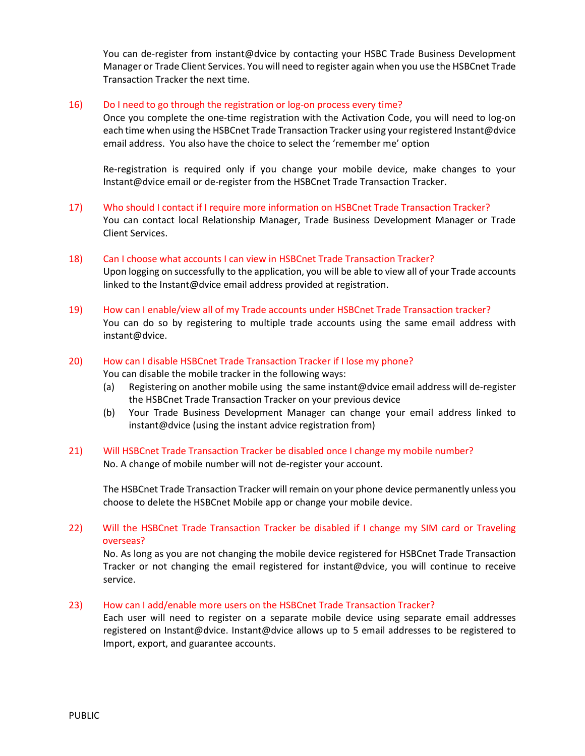You can de-register from instant@dvice by contacting your HSBC Trade Business Development Manager or Trade Client Services. You will need to register again when you use the HSBCnet Trade Transaction Tracker the next time.

# 16) Do I need to go through the registration or log-on process every time?

Once you complete the one‐time registration with the Activation Code, you will need to log‐on each time when using the HSBCnet Trade Transaction Tracker using your registered Instant@dvice email address. You also have the choice to select the 'remember me' option

Re-registration is required only if you change your mobile device, make changes to your Instant@dvice email or de‐register from the HSBCnet Trade Transaction Tracker.

- 17) Who should I contact if I require more information on HSBCnet Trade Transaction Tracker? You can contact local Relationship Manager, Trade Business Development Manager or Trade Client Services.
- 18) Can I choose what accounts I can view in HSBCnet Trade Transaction Tracker? Upon logging on successfully to the application, you will be able to view all of your Trade accounts linked to the Instant@dvice email address provided at registration.
- 19) How can I enable/view all of my Trade accounts under HSBCnet Trade Transaction tracker? You can do so by registering to multiple trade accounts using the same email address with instant@dvice.
- 20) How can I disable HSBCnet Trade Transaction Tracker if I lose my phone?

You can disable the mobile tracker in the following ways:

- (a) Registering on another mobile using the same instant@dvice email address will de-register the HSBCnet Trade Transaction Tracker on your previous device
- (b) Your Trade Business Development Manager can change your email address linked to instant@dvice (using the instant advice registration from)
- 21) Will HSBCnet Trade Transaction Tracker be disabled once I change my mobile number? No. A change of mobile number will not de-register your account.

The HSBCnet Trade Transaction Tracker will remain on your phone device permanently unless you choose to delete the HSBCnet Mobile app or change your mobile device.

22) Will the HSBCnet Trade Transaction Tracker be disabled if I change my SIM card or Traveling overseas?

No. As long as you are not changing the mobile device registered for HSBCnet Trade Transaction Tracker or not changing the email registered for instant@dvice, you will continue to receive service.

23) How can I add/enable more users on the HSBCnet Trade Transaction Tracker?

Each user will need to register on a separate mobile device using separate email addresses registered on Instant@dvice. Instant@dvice allows up to 5 email addresses to be registered to Import, export, and guarantee accounts.